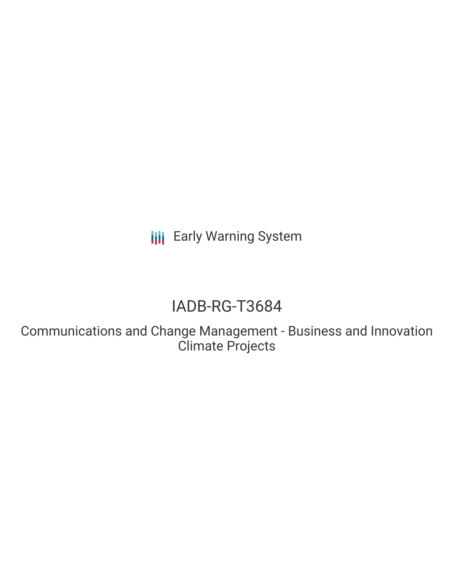**III** Early Warning System

# IADB-RG-T3684

Communications and Change Management - Business and Innovation Climate Projects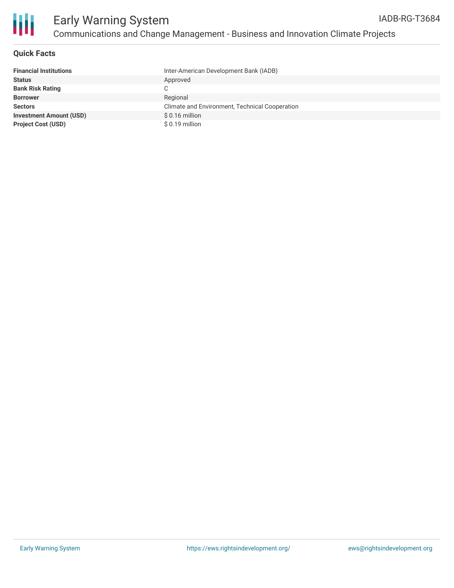

Ш

## **Quick Facts**

| <b>Financial Institutions</b>  | Inter-American Development Bank (IADB)         |
|--------------------------------|------------------------------------------------|
| <b>Status</b>                  | Approved                                       |
| <b>Bank Risk Rating</b>        | C.                                             |
| <b>Borrower</b>                | Regional                                       |
| <b>Sectors</b>                 | Climate and Environment, Technical Cooperation |
| <b>Investment Amount (USD)</b> | $$0.16$ million                                |
| <b>Project Cost (USD)</b>      | $$0.19$ million                                |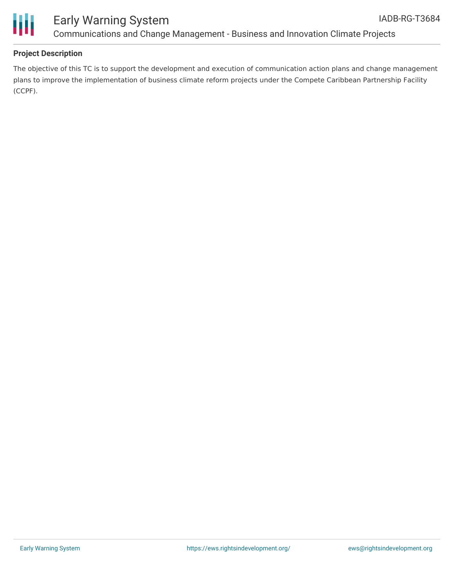

### **Project Description**

The objective of this TC is to support the development and execution of communication action plans and change management plans to improve the implementation of business climate reform projects under the Compete Caribbean Partnership Facility (CCPF).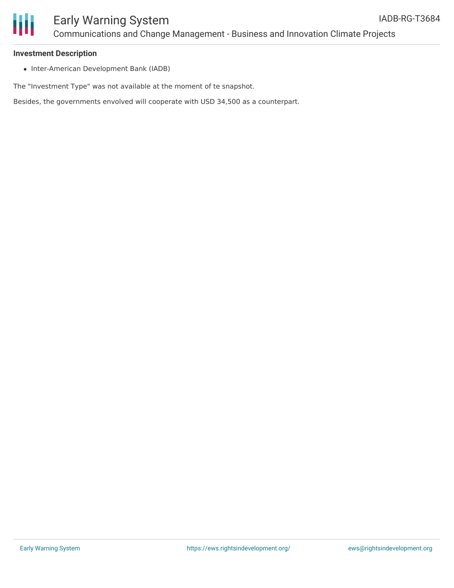

#### **Investment Description**

• Inter-American Development Bank (IADB)

The "Investment Type" was not available at the moment of te snapshot.

Besides, the governments envolved will cooperate with USD 34,500 as a counterpart.